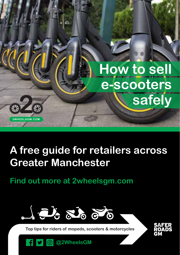

## **A free guide for retailers across Greater Manchester**

**Find out more at 2wheelsgm.com**



**Top tips for riders of mopeds, scooters & motorcycles**

**@2WheelsGM**

 $| \odot |$